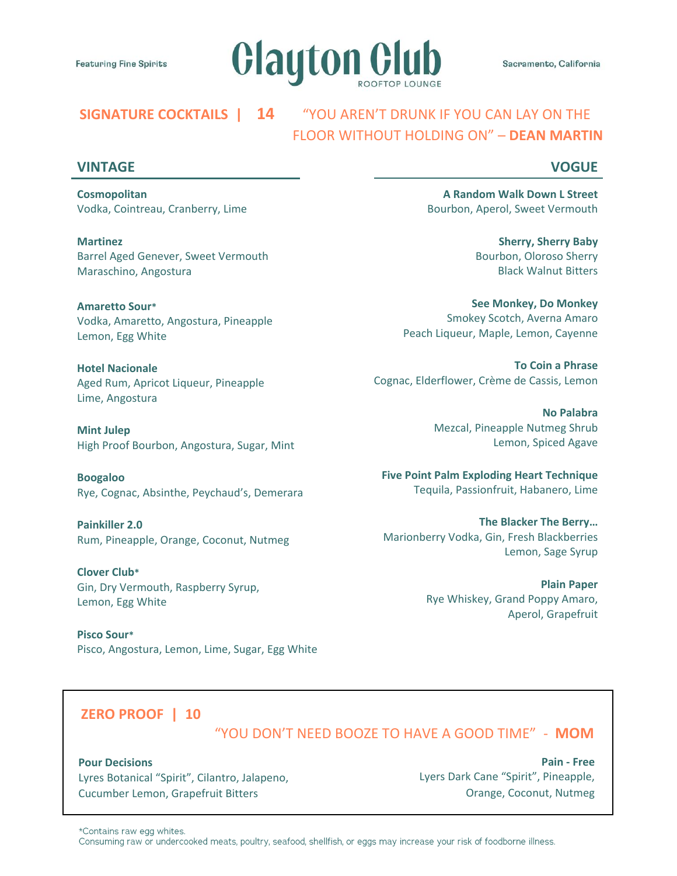

# **SIGNATURE COCKTAILS | 14** "YOU AREN'T DRUNK IF YOU CAN LAY ON THE FLOOR WITHOUT HOLDING ON" – **DEAN MARTIN**

### **VINTAGE**

## **VOGUE**

**Cosmopolitan**  Vodka, Cointreau, Cranberry, Lime

**Martinez** Barrel Aged Genever, Sweet Vermouth Maraschino, Angostura

**Amaretto Sour\*** Vodka, Amaretto, Angostura, Pineapple Lemon, Egg White

**Hotel Nacionale** Aged Rum, Apricot Liqueur, Pineapple Lime, Angostura

**Mint Julep** High Proof Bourbon, Angostura, Sugar, Mint

**Boogaloo** Rye, Cognac, Absinthe, Peychaud's, Demerara

**Painkiller 2.0** Rum, Pineapple, Orange, Coconut, Nutmeg

**Clover Club\*** Gin, Dry Vermouth, Raspberry Syrup, Lemon, Egg White

**Pisco Sour\*** Pisco, Angostura, Lemon, Lime, Sugar, Egg White

**A Random Walk Down L Street** Bourbon, Aperol, Sweet Vermouth

> **Sherry, Sherry Baby** Bourbon, Oloroso Sherry Black Walnut Bitters

**See Monkey, Do Monkey** Smokey Scotch, Averna Amaro Peach Liqueur, Maple, Lemon, Cayenne

**To Coin a Phrase** Cognac, Elderflower, Crème de Cassis, Lemon

> **No Palabra** Mezcal, Pineapple Nutmeg Shrub Lemon, Spiced Agave

**Five Point Palm Exploding Heart Technique** Tequila, Passionfruit, Habanero, Lime

**The Blacker The Berry…** Marionberry Vodka, Gin, Fresh Blackberries Lemon, Sage Syrup

> **Plain Paper** Rye Whiskey, Grand Poppy Amaro, Aperol, Grapefruit

## **ZERO PROOF | 10**

"YOU DON'T NEED BOOZE TO HAVE A GOOD TIME" - **MOM**

#### **Pour Decisions**

Lyres Botanical "Spirit", Cilantro, Jalapeno, Cucumber Lemon, Grapefruit Bitters

**Pain - Free** Lyers Dark Cane "Spirit", Pineapple, Orange, Coconut, Nutmeg

\*Contains raw egg whites.

Consuming raw or undercooked meats, poultry, seafood, shellfish, or eggs may increase your risk of foodborne illness.